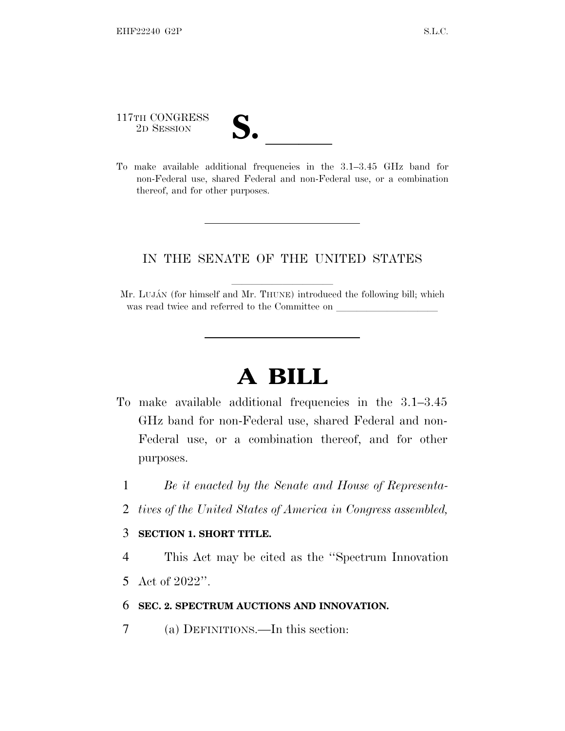117TH CONGRESS

117TH CONGRESS<br>
2D SESSION<br>
To make available additional frequencies in the 3.1–3.45 GHz band for non-Federal use, shared Federal and non-Federal use, or a combination thereof, and for other purposes.

## IN THE SENATE OF THE UNITED STATES

Mr. LUJÁN (for himself and Mr. THUNE) introduced the following bill; which was read twice and referred to the Committee on

## **A BILL**

- To make available additional frequencies in the 3.1–3.45 GHz band for non-Federal use, shared Federal and non-Federal use, or a combination thereof, and for other purposes.
	- 1 *Be it enacted by the Senate and House of Representa-*
	- 2 *tives of the United States of America in Congress assembled,*

## 3 **SECTION 1. SHORT TITLE.**

4 This Act may be cited as the ''Spectrum Innovation

5 Act of 2022''.

## 6 **SEC. 2. SPECTRUM AUCTIONS AND INNOVATION.**

7 (a) DEFINITIONS.—In this section: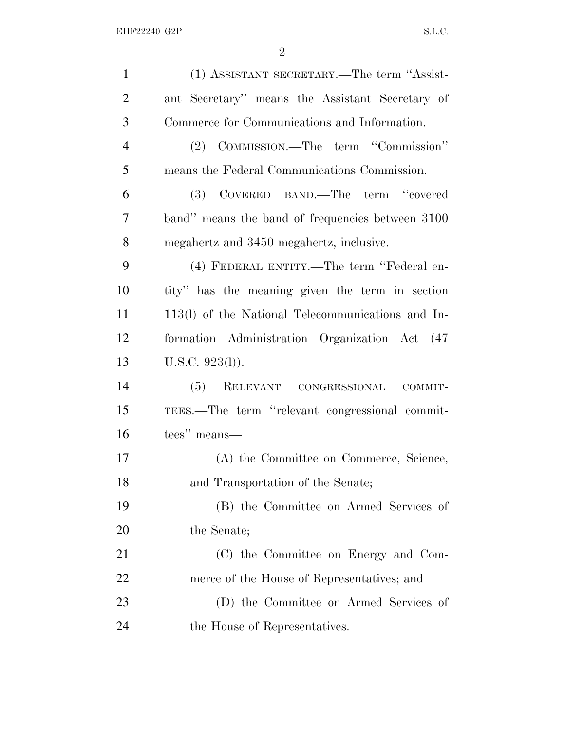| $\mathbf{1}$   | (1) ASSISTANT SECRETARY.—The term "Assist-        |
|----------------|---------------------------------------------------|
| $\overline{2}$ | ant Secretary" means the Assistant Secretary of   |
| 3              | Commerce for Communications and Information.      |
| $\overline{4}$ | (2) COMMISSION.—The term "Commission"             |
| 5              | means the Federal Communications Commission.      |
| 6              | (3) COVERED BAND.—The term "covered               |
| 7              | band" means the band of frequencies between 3100  |
| 8              | megahertz and 3450 megahertz, inclusive.          |
| 9              | (4) FEDERAL ENTITY.—The term "Federal en-         |
| 10             | tity" has the meaning given the term in section   |
| 11             | 113(l) of the National Telecommunications and In- |
| 12             | formation Administration Organization Act (47     |
| 13             | $U.S.C. 923(l)$ ).                                |
| 14             | RELEVANT CONGRESSIONAL<br>(5)<br>COMMIT-          |
| 15             | TEES.—The term "relevant congressional commit-    |
| 16             | tees" means—                                      |
| 17             | (A) the Committee on Commerce, Science,           |
| 18             | and Transportation of the Senate;                 |
| 19             | (B) the Committee on Armed Services of            |
| 20             | the Senate;                                       |
| 21             | (C) the Committee on Energy and Com-              |
| 22             | merce of the House of Representatives; and        |
| 23             | (D) the Committee on Armed Services of            |
| 24             | the House of Representatives.                     |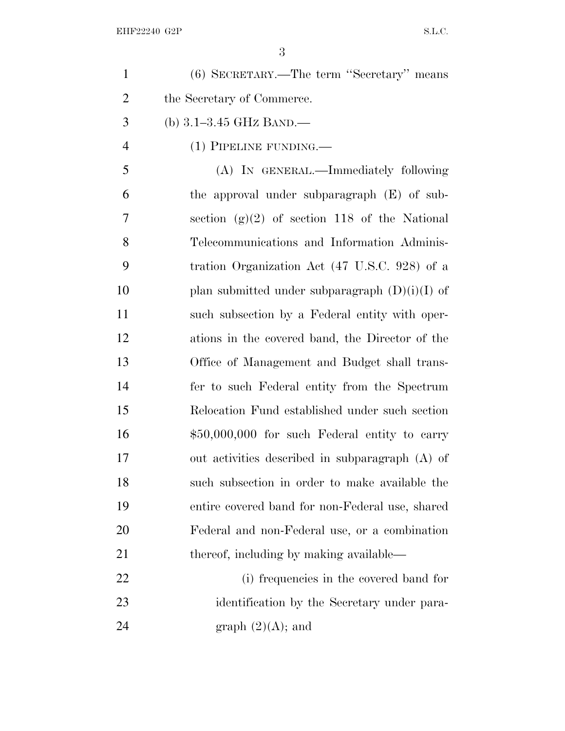| $\mathbf{1}$   | (6) SECRETARY.—The term "Secretary" means        |
|----------------|--------------------------------------------------|
| $\overline{2}$ | the Secretary of Commerce.                       |
| 3              | (b) $3.1 - 3.45$ GHz BAND.—                      |
| $\overline{4}$ | (1) PIPELINE FUNDING.—                           |
| 5              | (A) IN GENERAL.—Immediately following            |
| 6              | the approval under subparagraph (E) of sub-      |
| 7              | section $(g)(2)$ of section 118 of the National  |
| 8              | Telecommunications and Information Adminis-      |
| 9              | tration Organization Act (47 U.S.C. 928) of a    |
| 10             | plan submitted under subparagraph $(D)(i)(I)$ of |
| 11             | such subsection by a Federal entity with oper-   |
| 12             | ations in the covered band, the Director of the  |
| 13             | Office of Management and Budget shall trans-     |
| 14             | fer to such Federal entity from the Spectrum     |
| 15             | Relocation Fund established under such section   |
| 16             | $$50,000,000$ for such Federal entity to carry   |
| 17             | out activities described in subparagraph (A) of  |
| 18             | such subsection in order to make available the   |
| 19             | entire covered band for non-Federal use, shared  |
| 20             | Federal and non-Federal use, or a combination    |
| 21             | thereof, including by making available—          |
| 22             | (i) frequencies in the covered band for          |
| 23             | identification by the Secretary under para-      |
| 24             | graph $(2)(A)$ ; and                             |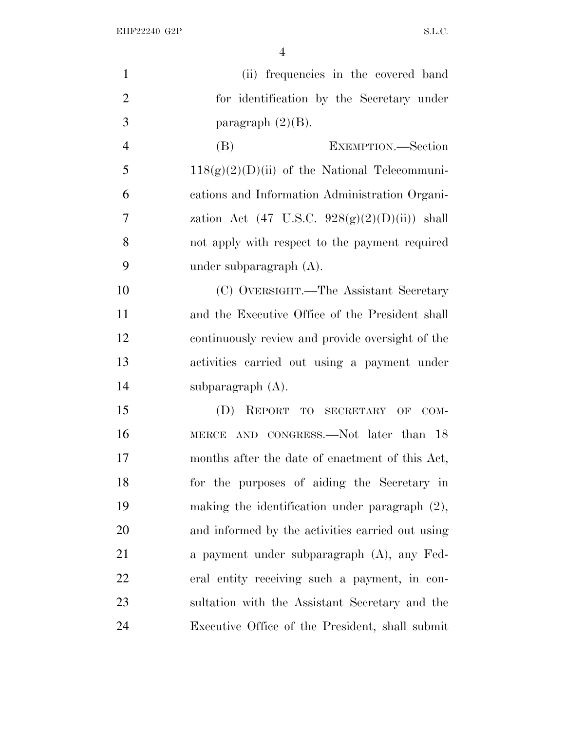EHF22240 G2P S.L.C.

| $\mathbf{1}$   | (ii) frequencies in the covered band              |
|----------------|---------------------------------------------------|
| $\overline{2}$ | for identification by the Secretary under         |
| 3              | paragraph $(2)(B)$ .                              |
| $\overline{4}$ | EXEMPTION.—Section<br>(B)                         |
| 5              | $118(g)(2)(D)(ii)$ of the National Telecommuni-   |
| 6              | cations and Information Administration Organi-    |
| $\overline{7}$ | zation Act (47 U.S.C. $928(g)(2)(D)(ii)$ ) shall  |
| 8              | not apply with respect to the payment required    |
| 9              | under subparagraph $(A)$ .                        |
| 10             | (C) OVERSIGHT.—The Assistant Secretary            |
| 11             | and the Executive Office of the President shall   |
| 12             | continuously review and provide oversight of the  |
| 13             | activities carried out using a payment under      |
| 14             | subparagraph $(A)$ .                              |
| 15             | (D) REPORT<br>TO SECRETARY OF COM-                |
| 16             | MERCE AND CONGRESS.—Not later than 18             |
| 17             | months after the date of enactment of this Act,   |
| 18             | for the purposes of aiding the Secretary in       |
| 19             | making the identification under paragraph $(2)$ , |
| 20             | and informed by the activities carried out using  |
| 21             | a payment under subparagraph (A), any Fed-        |
| 22             | eral entity receiving such a payment, in con-     |
| 23             | sultation with the Assistant Secretary and the    |
| 24             | Executive Office of the President, shall submit   |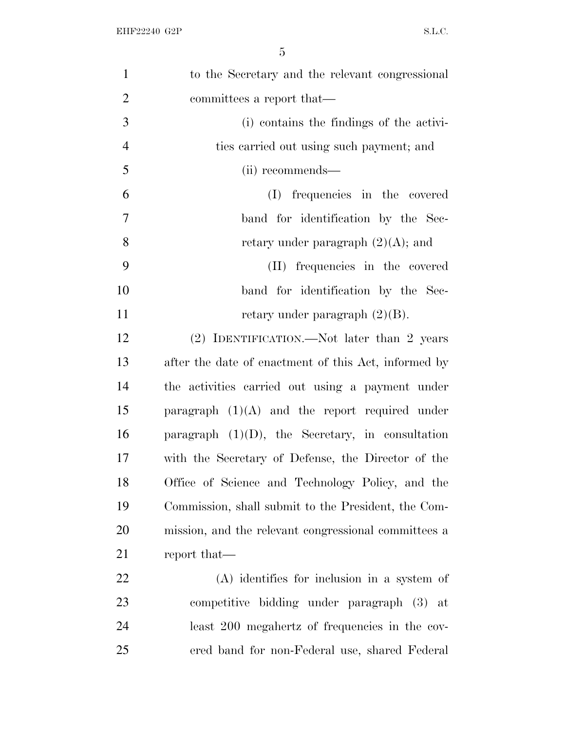| $\mathbf{1}$   | to the Secretary and the relevant congressional      |
|----------------|------------------------------------------------------|
| $\overline{2}$ | committees a report that—                            |
| 3              | (i) contains the findings of the activi-             |
| $\overline{4}$ | ties carried out using such payment; and             |
| 5              | (ii) recommends—                                     |
| 6              | frequencies in the covered<br>(I)                    |
| 7              | band for identification by the Sec-                  |
| 8              | retary under paragraph $(2)(A)$ ; and                |
| 9              | (II) frequencies in the covered                      |
| 10             | band for identification by the Sec-                  |
| 11             | retary under paragraph $(2)(B)$ .                    |
| 12             | (2) IDENTIFICATION.—Not later than 2 years           |
| 13             | after the date of enactment of this Act, informed by |
| 14             | the activities carried out using a payment under     |
| 15             | paragraph $(1)(A)$ and the report required under     |
| 16             | paragraph $(1)(D)$ , the Secretary, in consultation  |
| 17             | with the Secretary of Defense, the Director of the   |
| 18             | Office of Science and Technology Policy, and the     |
| 19             | Commission, shall submit to the President, the Com-  |
| 20             | mission, and the relevant congressional committees a |
| 21             | report that—                                         |
| 22             | $(A)$ identifies for inclusion in a system of        |
| 23             | competitive bidding under paragraph (3) at           |
| 24             | least 200 megahertz of frequencies in the cov-       |
| 25             | ered band for non-Federal use, shared Federal        |
|                |                                                      |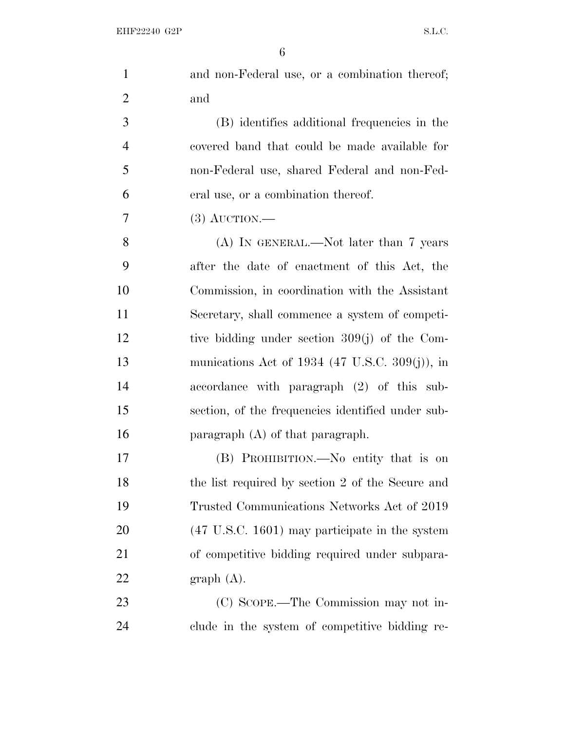| $\mathbf{1}$   | and non-Federal use, or a combination thereof;            |
|----------------|-----------------------------------------------------------|
| $\overline{2}$ | and                                                       |
| 3              | (B) identifies additional frequencies in the              |
| $\overline{4}$ | covered band that could be made available for             |
| 5              | non-Federal use, shared Federal and non-Fed-              |
| 6              | eral use, or a combination thereof.                       |
| 7              | $(3)$ AUCTION.—                                           |
| 8              | $(A)$ In GENERAL.—Not later than 7 years                  |
| 9              | after the date of enactment of this Act, the              |
| 10             | Commission, in coordination with the Assistant            |
| 11             | Secretary, shall commence a system of competi-            |
| 12             | tive bidding under section 309(j) of the Com-             |
| 13             | munications Act of 1934 (47 U.S.C. 309(j)), in            |
| 14             | accordance with paragraph (2) of this sub-                |
| 15             | section, of the frequencies identified under sub-         |
| 16             | paragraph $(A)$ of that paragraph.                        |
| 17             | (B) PROHIBITION.—No entity that is on                     |
| 18             | the list required by section 2 of the Secure and          |
| 19             | Trusted Communications Networks Act of 2019               |
| 20             | $(47 \text{ U.S.C. } 1601)$ may participate in the system |
| 21             | of competitive bidding required under subpara-            |
| 22             | graph(A).                                                 |
| 23             | (C) SCOPE.—The Commission may not in-                     |
| 24             | clude in the system of competitive bidding re-            |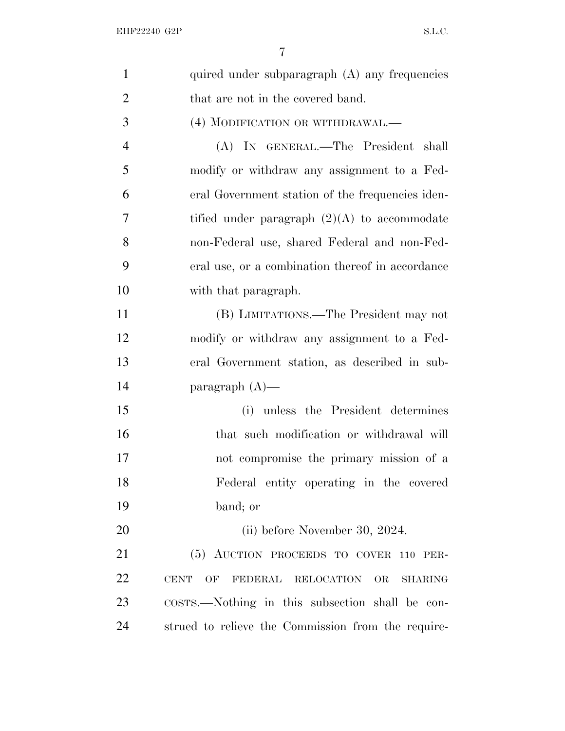| $\mathbf{1}$   | quired under subparagraph (A) any frequencies                   |
|----------------|-----------------------------------------------------------------|
| $\overline{2}$ | that are not in the covered band.                               |
| 3              | (4) MODIFICATION OR WITHDRAWAL.—                                |
| $\overline{4}$ | (A) IN GENERAL.—The President shall                             |
| 5              | modify or withdraw any assignment to a Fed-                     |
| 6              | eral Government station of the frequencies iden-                |
| 7              | tified under paragraph $(2)(A)$ to accommodate                  |
| 8              | non-Federal use, shared Federal and non-Fed-                    |
| 9              | eral use, or a combination thereof in accordance                |
| 10             | with that paragraph.                                            |
| 11             | (B) LIMITATIONS.—The President may not                          |
| 12             | modify or withdraw any assignment to a Fed-                     |
| 13             | eral Government station, as described in sub-                   |
| 14             | paragraph $(A)$ —                                               |
| 15             | (i) unless the President determines                             |
| 16             | that such modification or withdrawal will                       |
| 17             | not compromise the primary mission of a                         |
| 18             | Federal entity operating in the covered                         |
| 19             | band; or                                                        |
| 20             | (ii) before November 30, 2024.                                  |
| 21             | (5) AUCTION PROCEEDS TO COVER 110 PER-                          |
| 22             | FEDERAL RELOCATION<br>OF<br>OR<br><b>CENT</b><br><b>SHARING</b> |
| 23             | COSTS.—Nothing in this subsection shall be con-                 |
| 24             | strued to relieve the Commission from the require-              |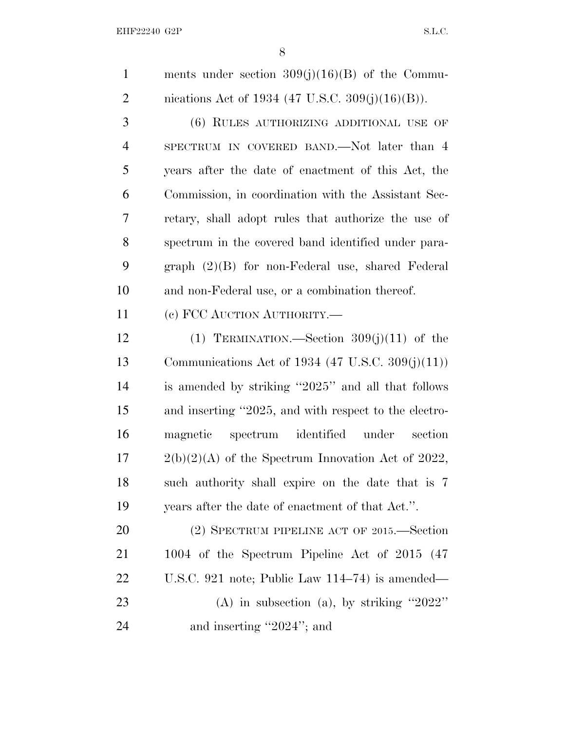EHF22240 G2P S.L.C.

1 ments under section  $309(j)(16)(B)$  of the Commu-2 nications Act of 1934 (47 U.S.C. 309(j)(16)(B)).

 (6) RULES AUTHORIZING ADDITIONAL USE OF SPECTRUM IN COVERED BAND.—Not later than 4 years after the date of enactment of this Act, the Commission, in coordination with the Assistant Sec- retary, shall adopt rules that authorize the use of spectrum in the covered band identified under para- graph (2)(B) for non-Federal use, shared Federal and non-Federal use, or a combination thereof.

(c) FCC AUCTION AUTHORITY.—

12 (1) TERMINATION.—Section  $309(j)(11)$  of the Communications Act of 1934 (47 U.S.C. 309(j)(11)) is amended by striking ''2025'' and all that follows and inserting ''2025, and with respect to the electro- magnetic spectrum identified under section  $17 \qquad 2(b)(2)(A)$  of the Spectrum Innovation Act of 2022, such authority shall expire on the date that is 7 years after the date of enactment of that Act.''.

 (2) SPECTRUM PIPELINE ACT OF 2015.—Section 1004 of the Spectrum Pipeline Act of 2015 (47 U.S.C. 921 note; Public Law 114–74) is amended— (A) in subsection (a), by striking ''2022'' 24 and inserting "2024"; and